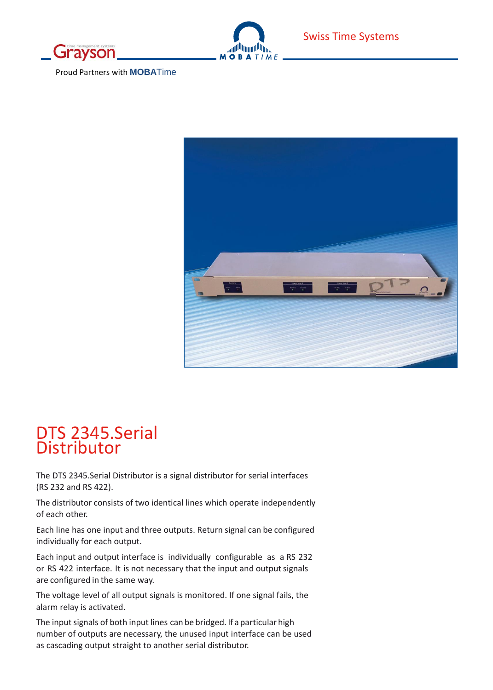



Proud Partners with **MOBA**Time



# DTS 2345.Serial Distributor

The DTS 2345.Serial Distributor is a signal distributor for serial interfaces (RS 232 and RS 422).

The distributor consists of two identical lines which operate independently of each other.

Each line has one input and three outputs. Return signal can be configured individually for each output.

Each input and output interface is individually configurable as a RS 232 or RS 422 interface. It is not necessary that the input and output signals are configured in the same way.

The voltage level of all output signals is monitored. If one signal fails, the alarm relay is activated.

The input signals of both input lines can be bridged. If a particular high number of outputs are necessary, the unused input interface can be used as cascading output straight to another serial distributor.